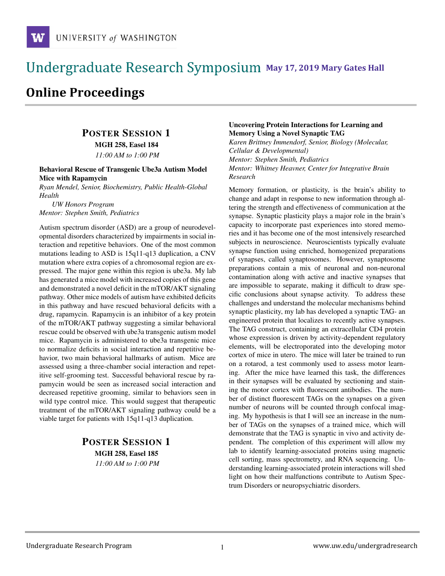# **May 17, 2019 Mary Gates Hall** Ĭ

# **Online Proceedings**

# POSTER SESSION 1

MGH 258, Easel 184

*11:00 AM to 1:00 PM*

#### Behavioral Rescue of Transgenic Ube3a Autism Model Mice with Rapamycin

*Ryan Mendel, Senior, Biochemistry, Public Health-Global Health*

*UW Honors Program Mentor: Stephen Smith, Pediatrics*

Autism spectrum disorder (ASD) are a group of neurodevelopmental disorders characterized by impairments in social interaction and repetitive behaviors. One of the most common mutations leading to ASD is 15q11-q13 duplication, a CNV mutation where extra copies of a chromosomal region are expressed. The major gene within this region is ube3a. My lab has generated a mice model with increased copies of this gene and demonstrated a novel deficit in the mTOR/AKT signaling pathway. Other mice models of autism have exhibited deficits in this pathway and have rescued behavioral deficits with a drug, rapamycin. Rapamycin is an inhibitor of a key protein of the mTOR/AKT pathway suggesting a similar behavioral rescue could be observed with ube3a transgenic autism model mice. Rapamycin is administered to ube3a transgenic mice to normalize deficits in social interaction and repetitive behavior, two main behavioral hallmarks of autism. Mice are assessed using a three-chamber social interaction and repetitive self-grooming test. Successful behavioral rescue by rapamycin would be seen as increased social interaction and decreased repetitive grooming, similar to behaviors seen in wild type control mice. This would suggest that therapeutic treatment of the mTOR/AKT signaling pathway could be a viable target for patients with 15q11-q13 duplication.

### POSTER SESSION 1 MGH 258, Easel 185 *11:00 AM to 1:00 PM*

#### Uncovering Protein Interactions for Learning and Memory Using a Novel Synaptic TAG

*Karen Brittney Immendorf, Senior, Biology (Molecular, Cellular & Developmental) Mentor: Stephen Smith, Pediatrics Mentor: Whitney Heavner, Center for Integrative Brain Research*

Memory formation, or plasticity, is the brain's ability to change and adapt in response to new information through altering the strength and effectiveness of communication at the synapse. Synaptic plasticity plays a major role in the brain's capacity to incorporate past experiences into stored memories and it has become one of the most intensively researched subjects in neuroscience. Neuroscientists typically evaluate synapse function using enriched, homogenized preparations of synapses, called synaptosomes. However, synaptosome preparations contain a mix of neuronal and non-neuronal contamination along with active and inactive synapses that are impossible to separate, making it difficult to draw specific conclusions about synapse activity. To address these challenges and understand the molecular mechanisms behind synaptic plasticity, my lab has developed a synaptic TAG- an engineered protein that localizes to recently active synapses. The TAG construct, containing an extracellular CD4 protein whose expression is driven by activity-dependent regulatory elements, will be electroporated into the developing motor cortex of mice in utero. The mice will later be trained to run on a rotarod, a test commonly used to assess motor learning. After the mice have learned this task, the differences in their synapses will be evaluated by sectioning and staining the motor cortex with fluorescent antibodies. The number of distinct fluorescent TAGs on the synapses on a given number of neurons will be counted through confocal imaging. My hypothesis is that I will see an increase in the number of TAGs on the synapses of a trained mice, which will demonstrate that the TAG is synaptic in vivo and activity dependent. The completion of this experiment will allow my lab to identify learning-associated proteins using magnetic cell sorting, mass spectrometry, and RNA sequencing. Understanding learning-associated protein interactions will shed light on how their malfunctions contribute to Autism Spectrum Disorders or neuropsychiatric disorders.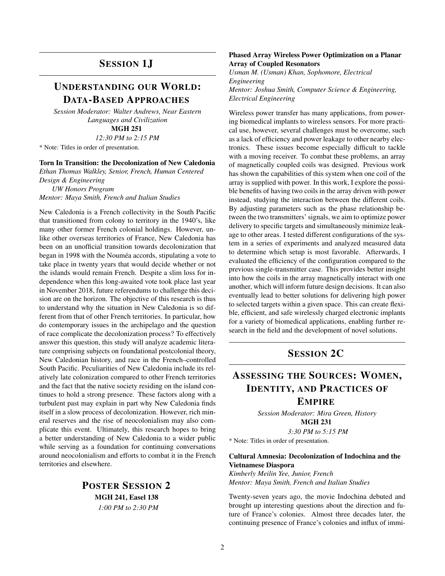### SESSION 1J

### UNDERSTANDING OUR WORLD: DATA-BASED APPROACHES

*Session Moderator: Walter Andrews, Near Eastern Languages and Civilization*

MGH 251

*12:30 PM to 2:15 PM*

\* Note: Titles in order of presentation.

#### Torn In Transition: the Decolonization of New Caledonia

*Ethan Thomas Walkley, Senior, French, Human Centered Design & Engineering UW Honors Program Mentor: Maya Smith, French and Italian Studies*

New Caledonia is a French collectivity in the South Pacific that transitioned from colony to territory in the 1940's, like many other former French colonial holdings. However, unlike other overseas territories of France, New Caledonia has been on an unofficial transition towards decolonization that began in 1998 with the Nouméa accords, stipulating a vote to take place in twenty years that would decide whether or not the islands would remain French. Despite a slim loss for independence when this long-awaited vote took place last year in November 2018, future referendums to challenge this decision are on the horizon. The objective of this research is thus to understand why the situation in New Caledonia is so different from that of other French territories. In particular, how do contemporary issues in the archipelago and the question of race complicate the decolonization process? To effectively answer this question, this study will analyze academic literature comprising subjects on foundational postcolonial theory, New Caledonian history, and race in the French–controlled South Pacific. Peculiarities of New Caledonia include its relatively late colonization compared to other French territories and the fact that the native society residing on the island continues to hold a strong presence. These factors along with a turbulent past may explain in part why New Caledonia finds itself in a slow process of decolonization. However, rich mineral reserves and the rise of neocolonialism may also complicate this event. Ultimately, this research hopes to bring a better understanding of New Caledonia to a wider public while serving as a foundation for continuing conversations around neocolonialism and efforts to combat it in the French territories and elsewhere.

> POSTER SESSION 2 MGH 241, Easel 138 *1:00 PM to 2:30 PM*

#### Phased Array Wireless Power Optimization on a Planar Array of Coupled Resonators

*Usman M. (Usman) Khan, Sophomore, Electrical Engineering Mentor: Joshua Smith, Computer Science & Engineering, Electrical Engineering*

Wireless power transfer has many applications, from powering biomedical implants to wireless sensors. For more practical use, however, several challenges must be overcome, such as a lack of efficiency and power leakage to other nearby electronics. These issues become especially difficult to tackle with a moving receiver. To combat these problems, an array of magnetically coupled coils was designed. Previous work has shown the capabilities of this system when one coil of the array is supplied with power. In this work, I explore the possible benefits of having two coils in the array driven with power instead, studying the interaction between the different coils. By adjusting parameters such as the phase relationship between the two transmitters' signals, we aim to optimize power delivery to specific targets and simultaneously minimize leakage to other areas. I tested different configurations of the system in a series of experiments and analyzed measured data to determine which setup is most favorable. Afterwards, I evaluated the efficiency of the configuration compared to the previous single-transmitter case. This provides better insight into how the coils in the array magnetically interact with one another, which will inform future design decisions. It can also eventually lead to better solutions for delivering high power to selected targets within a given space. This can create flexible, efficient, and safe wirelessly charged electronic implants for a variety of biomedical applications, enabling further research in the field and the development of novel solutions.

### SESSION 2C

# ASSESSING THE SOURCES: WOMEN, IDENTITY, AND PRACTICES OF

### EMPIRE

*Session Moderator: Mira Green, History* MGH 231

*3:30 PM to 5:15 PM* \* Note: Titles in order of presentation.

#### Cultural Amnesia: Decolonization of Indochina and the Vietnamese Diaspora

*Kimberly Meilin Yee, Junior, French Mentor: Maya Smith, French and Italian Studies*

Twenty-seven years ago, the movie Indochina debuted and brought up interesting questions about the direction and future of France's colonies. Almost three decades later, the continuing presence of France's colonies and influx of immi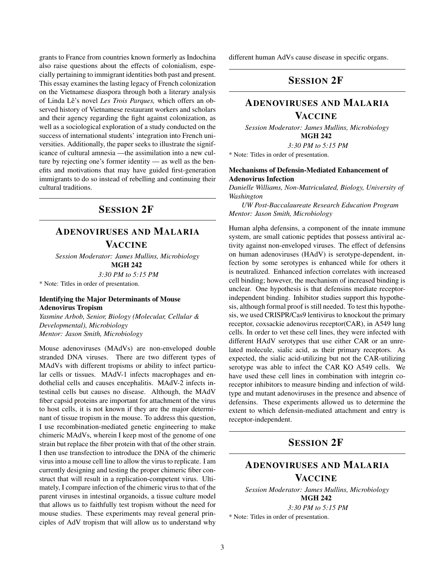grants to France from countries known formerly as Indochina also raise questions about the effects of colonialism, especially pertaining to immigrant identities both past and present. This essay examines the lasting legacy of French colonization on the Vietnamese diaspora through both a literary analysis of Linda Lê's novel Les Trois Parques, which offers an observed history of Vietnamese restaurant workers and scholars and their agency regarding the fight against colonization, as well as a sociological exploration of a study conducted on the success of international students' integration into French universities. Additionally, the paper seeks to illustrate the significance of cultural amnesia —the assimilation into a new culture by rejecting one's former identity — as well as the benefits and motivations that may have guided first-generation immigrants to do so instead of rebelling and continuing their cultural traditions.

### SESSION 2F

### ADENOVIRUSES AND MALARIA VACCINE

*Session Moderator: James Mullins, Microbiology* MGH 242

*3:30 PM to 5:15 PM*

\* Note: Titles in order of presentation.

#### Identifying the Major Determinants of Mouse Adenovirus Tropism

*Yasmine Arbob, Senior, Biology (Molecular, Cellular & Developmental), Microbiology Mentor: Jason Smith, Microbiology*

Mouse adenoviruses (MAdVs) are non-enveloped double stranded DNA viruses. There are two different types of MAdVs with different tropisms or ability to infect particular cells or tissues. MAdV-1 infects macrophages and endothelial cells and causes encephalitis. MAdV-2 infects intestinal cells but causes no disease. Although, the MAdV fiber capsid proteins are important for attachment of the virus to host cells, it is not known if they are the major determinant of tissue tropism in the mouse. To address this question, I use recombination-mediated genetic engineering to make chimeric MAdVs, wherein I keep most of the genome of one strain but replace the fiber protein with that of the other strain. I then use transfection to introduce the DNA of the chimeric virus into a mouse cell line to allow the virus to replicate. I am currently designing and testing the proper chimeric fiber construct that will result in a replication-competent virus. Ultimately, I compare infection of the chimeric virus to that of the parent viruses in intestinal organoids, a tissue culture model that allows us to faithfully test tropism without the need for mouse studies. These experiments may reveal general principles of AdV tropism that will allow us to understand why different human AdVs cause disease in specific organs.

## SESSION 2F

### ADENOVIRUSES AND MALARIA **VACCINE**

*Session Moderator: James Mullins, Microbiology* MGH 242

*3:30 PM to 5:15 PM*

\* Note: Titles in order of presentation.

#### Mechanisms of Defensin-Mediated Enhancement of Adenovirus Infection

*Danielle Williams, Non-Matriculated, Biology, University of Washington*

*UW Post-Baccalaureate Research Education Program Mentor: Jason Smith, Microbiology*

Human alpha defensins, a component of the innate immune system, are small cationic peptides that possess antiviral activity against non-enveloped viruses. The effect of defensins on human adenoviruses (HAdV) is serotype-dependent, infection by some serotypes is enhanced while for others it is neutralized. Enhanced infection correlates with increased cell binding; however, the mechanism of increased binding is unclear. One hypothesis is that defensins mediate receptorindependent binding. Inhibitor studies support this hypothesis, although formal proof is still needed. To test this hypothesis, we used CRISPR/Cas9 lentivirus to knockout the primary receptor, coxsackie adenovirus receptor(CAR), in A549 lung cells. In order to vet these cell lines, they were infected with different HAdV serotypes that use either CAR or an unrelated molecule, sialic acid, as their primary receptors. As expected, the sialic acid-utilizing but not the CAR-utilizing serotype was able to infect the CAR KO A549 cells. We have used these cell lines in combination with integrin coreceptor inhibitors to measure binding and infection of wildtype and mutant adenoviruses in the presence and absence of defensins. These experiments allowed us to determine the extent to which defensin-mediated attachment and entry is receptor-independent.

### SESSION 2F

## ADENOVIRUSES AND MALARIA VACCINE

*Session Moderator: James Mullins, Microbiology* MGH 242 *3:30 PM to 5:15 PM*

\* Note: Titles in order of presentation.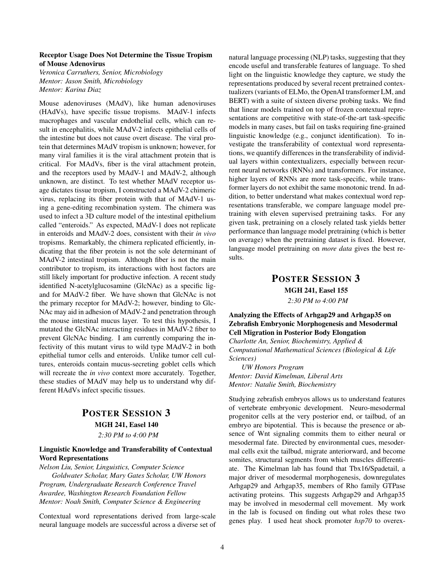#### Receptor Usage Does Not Determine the Tissue Tropism of Mouse Adenovirus

*Veronica Carruthers, Senior, Microbiology Mentor: Jason Smith, Microbiology Mentor: Karina Diaz*

Mouse adenoviruses (MAdV), like human adenoviruses (HAdVs), have specific tissue tropisms. MAdV-1 infects macrophages and vascular endothelial cells, which can result in encephalitis, while MAdV-2 infects epithelial cells of the intestine but does not cause overt disease. The viral protein that determines MAdV tropism is unknown; however, for many viral families it is the viral attachment protein that is critical. For MAdVs, fiber is the viral attachment protein, and the receptors used by MAdV-1 and MAdV-2, although unknown, are distinct. To test whether MAdV receptor usage dictates tissue tropism, I constructed a MAdV-2 chimeric virus, replacing its fiber protein with that of MAdV-1 using a gene-editing recombination system. The chimera was used to infect a 3D culture model of the intestinal epithelium called "enteroids." As expected, MAdV-1 does not replicate in enteroids and MAdV-2 does, consistent with their *in vivo* tropisms. Remarkably, the chimera replicated efficiently, indicating that the fiber protein is not the sole determinant of MAdV-2 intestinal tropism. Although fiber is not the main contributor to tropism, its interactions with host factors are still likely important for productive infection. A recent study identified N-acetylglucosamine (GlcNAc) as a specific ligand for MAdV-2 fiber. We have shown that GlcNAc is not the primary receptor for MAdV-2; however, binding to Glc-NAc may aid in adhesion of MAdV-2 and penetration through the mouse intestinal mucus layer. To test this hypothesis, I mutated the GlcNAc interacting residues in MAdV-2 fiber to prevent GlcNAc binding. I am currently comparing the infectivity of this mutant virus to wild type MAdV-2 in both epithelial tumor cells and enteroids. Unlike tumor cell cultures, enteroids contain mucus-secreting goblet cells which will recreate the *in vivo* context more accurately. Together, these studies of MAdV may help us to understand why different HAdVs infect specific tissues.

# POSTER SESSION 3 MGH 241, Easel 140

*2:30 PM to 4:00 PM*

#### Linguistic Knowledge and Transferability of Contextual Word Representations

*Nelson Liu, Senior, Linguistics, Computer Science Goldwater Scholar, Mary Gates Scholar, UW Honors Program, Undergraduate Research Conference Travel Awardee, Washington Research Foundation Fellow Mentor: Noah Smith, Computer Science & Engineering*

Contextual word representations derived from large-scale neural language models are successful across a diverse set of natural language processing (NLP) tasks, suggesting that they encode useful and transferable features of language. To shed light on the linguistic knowledge they capture, we study the representations produced by several recent pretrained contextualizers (variants of ELMo, the OpenAI transformer LM, and BERT) with a suite of sixteen diverse probing tasks. We find that linear models trained on top of frozen contextual representations are competitive with state-of-the-art task-specific models in many cases, but fail on tasks requiring fine-grained linguistic knowledge (e.g., conjunct identification). To investigate the transferability of contextual word representations, we quantify differences in the transferability of individual layers within contextualizers, especially between recurrent neural networks (RNNs) and transformers. For instance, higher layers of RNNs are more task-specific, while transformer layers do not exhibit the same monotonic trend. In addition, to better understand what makes contextual word representations transferable, we compare language model pretraining with eleven supervised pretraining tasks. For any given task, pretraining on a closely related task yields better performance than language model pretraining (which is better on average) when the pretraining dataset is fixed. However, language model pretraining on *more data* gives the best results.

### POSTER SESSION 3 MGH 241, Easel 155 *2:30 PM to 4:00 PM*

#### Analyzing the Effects of Arhgap29 and Arhgap35 on Zebrafish Embryonic Morphogenesis and Mesodermal Cell Migration in Posterior Body Elongation

*Charlotte An, Senior, Biochemistry, Applied & Computational Mathematical Sciences (Biological & Life Sciences)*

*UW Honors Program Mentor: David Kimelman, Liberal Arts Mentor: Natalie Smith, Biochemistry*

Studying zebrafish embryos allows us to understand features of vertebrate embryonic development. Neuro-mesodermal progenitor cells at the very posterior end, or tailbud, of an embryo are bipotential. This is because the presence or absence of Wnt signaling commits them to either neural or mesodermal fate. Directed by environmental cues, mesodermal cells exit the tailbud, migrate anteriorward, and become somites, structural segments from which muscles differentiate. The Kimelman lab has found that Tbx16/Spadetail, a major driver of mesodermal morphogenesis, downregulates Arhgap29 and Arhgap35, members of Rho family GTPase activating proteins. This suggests Arhgap29 and Arhgap35 may be involved in mesodermal cell movement. My work in the lab is focused on finding out what roles these two genes play. I used heat shock promoter *hsp70* to overex